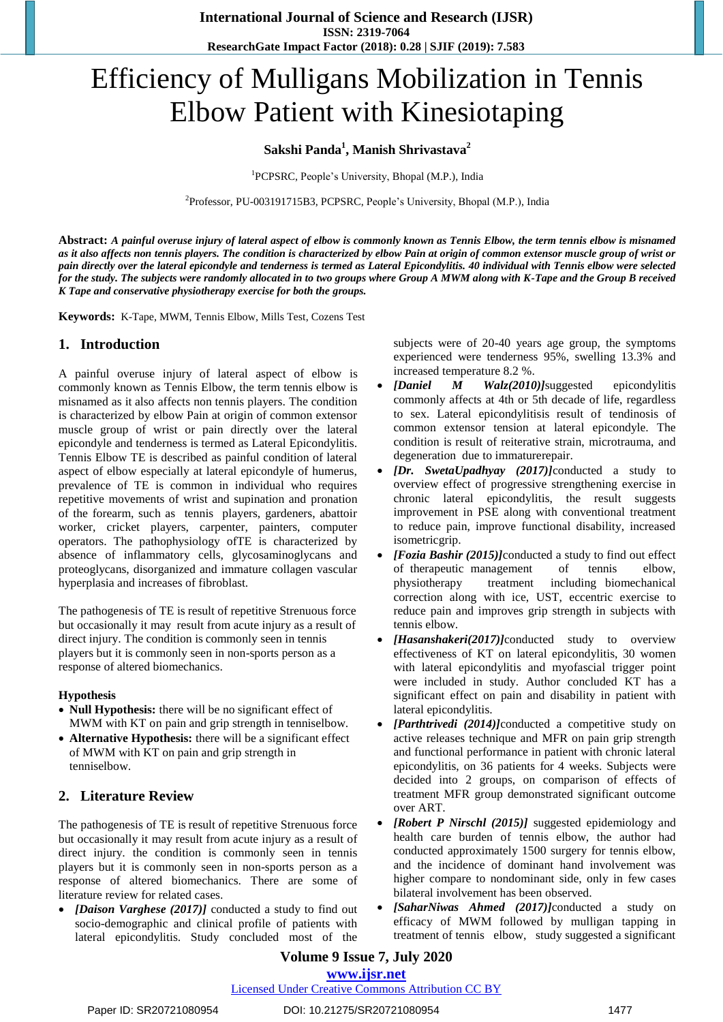# Efficiency of Mulligans Mobilization in Tennis Elbow Patient with Kinesiotaping

## **Sakshi Panda<sup>1</sup> , Manish Shrivastava<sup>2</sup>**

<sup>1</sup>PCPSRC, People's University, Bhopal (M.P.), India

2 Professor, PU-003191715B3, PCPSRC, People's University, Bhopal (M.P.), India

**Abstract:** *A painful overuse injury of lateral aspect of elbow is commonly known as Tennis Elbow, the term tennis elbow is misnamed as it also affects non tennis players. The condition is characterized by elbow Pain at origin of common extensor muscle group of wrist or pain directly over the lateral epicondyle and tenderness is termed as Lateral Epicondylitis. 40 individual with Tennis elbow were selected for the study. The subjects were randomly allocated in to two groups where Group A MWM along with K-Tape and the Group B received K Tape and conservative physiotherapy exercise for both the groups.*

**Keywords:** K-Tape, MWM, Tennis Elbow, Mills Test, Cozens Test

## **1. Introduction**

A painful overuse injury of lateral aspect of elbow is commonly known as Tennis Elbow, the term tennis elbow is misnamed as it also affects non tennis players. The condition is characterized by elbow Pain at origin of common extensor muscle group of wrist or pain directly over the lateral epicondyle and tenderness is termed as Lateral Epicondylitis. Tennis Elbow TE is described as painful condition of lateral aspect of elbow especially at lateral epicondyle of humerus, prevalence of TE is common in individual who requires repetitive movements of wrist and supination and pronation of the forearm, such as tennis players, gardeners, abattoir worker, cricket players, carpenter, painters, computer operators. The pathophysiology ofTE is characterized by absence of inflammatory cells, glycosaminoglycans and proteoglycans, disorganized and immature collagen vascular hyperplasia and increases of fibroblast.

The pathogenesis of TE is result of repetitive Strenuous force but occasionally it may result from acute injury as a result of direct injury. The condition is commonly seen in tennis players but it is commonly seen in non-sports person as a response of altered biomechanics.

#### **Hypothesis**

- **Null Hypothesis:** there will be no significant effect of MWM with KT on pain and grip strength in tenniselbow.
- **Alternative Hypothesis:** there will be a significant effect of MWM with KT on pain and grip strength in tenniselbow.

# **2. Literature Review**

The pathogenesis of TE is result of repetitive Strenuous force but occasionally it may result from acute injury as a result of direct injury. the condition is commonly seen in tennis players but it is commonly seen in non-sports person as a response of altered biomechanics. There are some of literature review for related cases.

 *[Daison Varghese (2017)]* conducted a study to find out socio-demographic and clinical profile of patients with lateral epicondylitis. Study concluded most of the

subjects were of 20-40 years age group, the symptoms experienced were tenderness 95%, swelling 13.3% and increased temperature 8.2 %.

- *[Daniel M Walz(2010)]*suggested epicondylitis commonly affects at 4th or 5th decade of life, regardless to sex. Lateral epicondylitisis result of tendinosis of common extensor tension at lateral epicondyle. The condition is result of reiterative strain, microtrauma, and degeneration due to immaturerepair.
- *[Dr. SwetaUpadhyay (2017)]*conducted a study to overview effect of progressive strengthening exercise in chronic lateral epicondylitis, the result suggests improvement in PSE along with conventional treatment to reduce pain, improve functional disability, increased isometricgrip.
- *[Fozia Bashir (2015)]*conducted a study to find out effect of therapeutic management of tennis elbow, physiotherapy treatment including biomechanical correction along with ice, UST, eccentric exercise to reduce pain and improves grip strength in subjects with tennis elbow.
- *[Hasanshakeri(2017)]*conducted study to overview effectiveness of KT on lateral epicondylitis, 30 women with lateral epicondylitis and myofascial trigger point were included in study. Author concluded KT has a significant effect on pain and disability in patient with lateral epicondylitis.
- *[Parthtrivedi (2014)]*conducted a competitive study on active releases technique and MFR on pain grip strength and functional performance in patient with chronic lateral epicondylitis, on 36 patients for 4 weeks. Subjects were decided into 2 groups, on comparison of effects of treatment MFR group demonstrated significant outcome over ART.
- *[Robert P Nirschl (2015)]* suggested epidemiology and health care burden of tennis elbow, the author had conducted approximately 1500 surgery for tennis elbow, and the incidence of dominant hand involvement was higher compare to nondominant side, only in few cases bilateral involvement has been observed.
- *[SaharNiwas Ahmed (2017)]*conducted a study on efficacy of MWM followed by mulligan tapping in treatment of tennis elbow, study suggested a significant

## **Volume 9 Issue 7, July 2020 www.ijsr.net**

## Licensed Under Creative Commons Attribution CC BY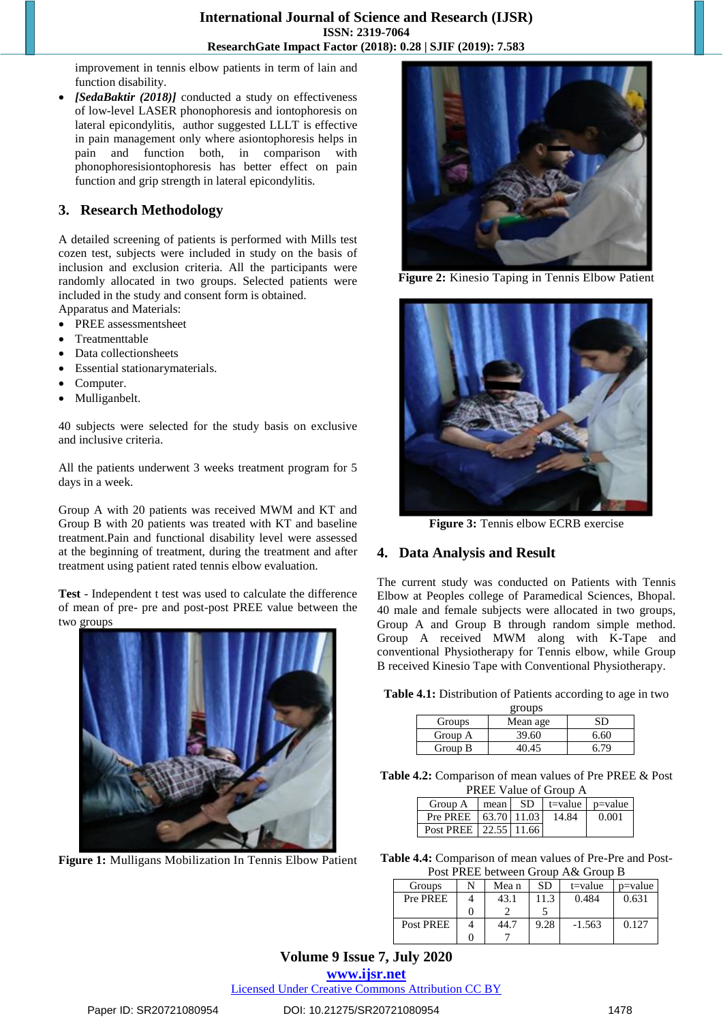improvement in tennis elbow patients in term of lain and function disability.

 *[SedaBaktir (2018)]* conducted a study on effectiveness of low-level LASER phonophoresis and iontophoresis on lateral epicondylitis, author suggested LLLT is effective in pain management only where asiontophoresis helps in pain and function both, in comparison with phonophoresisiontophoresis has better effect on pain function and grip strength in lateral epicondylitis.

## **3. Research Methodology**

A detailed screening of patients is performed with Mills test cozen test, subjects were included in study on the basis of inclusion and exclusion criteria. All the participants were randomly allocated in two groups. Selected patients were included in the study and consent form is obtained.

- Apparatus and Materials: • PREE assessmentsheet
- Treatmenttable
- Data collectionsheets
- Essential stationarymaterials.
- Computer.
- Mulliganbelt.

40 subjects were selected for the study basis on exclusive and inclusive criteria.

All the patients underwent 3 weeks treatment program for 5 days in a week.

Group A with 20 patients was received MWM and KT and Group B with 20 patients was treated with KT and baseline treatment.Pain and functional disability level were assessed at the beginning of treatment, during the treatment and after treatment using patient rated tennis elbow evaluation.

**Test** - Independent t test was used to calculate the difference of mean of pre- pre and post-post PREE value between the two groups



**Figure 1:** Mulligans Mobilization In Tennis Elbow Patient



**Figure 2:** Kinesio Taping in Tennis Elbow Patient



**Figure 3:** Tennis elbow ECRB exercise

#### **4. Data Analysis and Result**

The current study was conducted on Patients with Tennis Elbow at Peoples college of Paramedical Sciences, Bhopal. 40 male and female subjects were allocated in two groups, Group A and Group B through random simple method. Group A received MWM along with K-Tape and conventional Physiotherapy for Tennis elbow, while Group B received Kinesio Tape with Conventional Physiotherapy.

**Table 4.1:** Distribution of Patients according to age in two

| groups  |          |      |  |  |  |  |
|---------|----------|------|--|--|--|--|
| Groups  | Mean age | SD   |  |  |  |  |
| Group A | 39.60    | 6.60 |  |  |  |  |
| Group B | 40.45    |      |  |  |  |  |

**Table 4.2:** Comparison of mean values of Pre PREE & Post PREE Value of Group A

| $\Gamma$ KEL $\gamma$ and $\sigma$ and $\sigma$ |      |  |       |                                  |  |  |  |
|-------------------------------------------------|------|--|-------|----------------------------------|--|--|--|
| Group A                                         | mean |  |       | $SD$ $ $ t=value $ $ p=value $ $ |  |  |  |
| Pre PREE   63.70   11.03                        |      |  | 14.84 | 0.001                            |  |  |  |
| Post PREE   22.55   11.66                       |      |  |       |                                  |  |  |  |

**Table 4.4:** Comparison of mean values of Pre-Pre and Post-Post PREE between Group A& Group B

| Groups    | N | Mea n | SD   | $t = value$ | p=value |
|-----------|---|-------|------|-------------|---------|
| Pre PREE  |   | 43.1  | 11.3 | 0.484       | 0.631   |
|           |   |       |      |             |         |
| Post PREE |   | 44.7  | 9.28 | $-1.563$    | 0.127   |
|           |   |       |      |             |         |

# **Volume 9 Issue 7, July 2020**

**www.ijsr.net**

Licensed Under Creative Commons Attribution CC BY